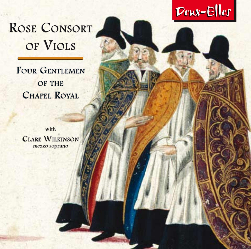

# ROSE CONSORT of Viols

FOUR GENTLEMEN OF THE CHAPEL ROYAL

with Clare Wilkinson mezzo soprano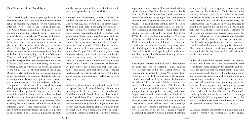#### **Four Gentlemen of the Chapel Royal**

The Chapel Royal, whose origins go back to the thirteenth century, was the English monarch's private religious foundation, where he or she worshipped, attended on by courtiers and visiting dignitaries. The Chapel travelled from palace to palace with the monarch; during the sixteenth century these were principally at Greenwich and Whitehall in London. Its Gentlemen musicians were drawn from the very finest singers, organists and composers from across the realm, often recruited from the great cathedral choirs. Tallis, Tye, Byrd and Tomkins, the four Gentlemen represented here, came respectively from the cathedrals of Canterbury, Ely, Lincoln and Worcester. They created music for Chapel Royal services that provided a resplendent aural counterpart to the riches of ecclesiastical architecture, furnishings, books and vestments, bearing witness to the power and prestige of the King or Queen. The Gentlemen of the Chapel Royal were also on hand to provide secular music at court, to celebrate great moments of state, to entertain in masques and dances, or to provide more private music for their patron's relaxation and contemplation. The position of Gentleman of the Chapel Royal was thus highly prestigious, considerably better paid than other musical occupations in England, and the duties were light enough to allow some incumbents to hold simultaneous appointments elsewhere, or to develop freelance careers as composers and performers, often working for noble patrons whose notice they had attracted at court. These elite musicians were in a position both to maintain traditional musical expertise as one generation of Gentlemen influenced the next, and also to experiment with new musical ideas within the crucible provided by the Chapel Royal.

Although no documentary evidence survives to confirm the year of birth of either Thomas Tallis or Christopher Tye, clues from their later careers suggest 1505 as the likely date. Both composers spent most of their creative lives working in the church: Tye at King's College, Cambridge and Ely Cathedral; Tallis at Waltham Abbey, Canterbury Cathedral and then from about 1543 until his death in 1585 at the Chapel Royal. Tye's association with the Chapel Royal is not so well documented as Tallis's, but he described himself as 'one of the Gentylmen of hys graces most honourable Chappell' in 1553 and was granted livery for Queen Mary's coronation in the same year. Earlier, he may have been music tutor to Prince Edward, when his mentor, the Archdeacon of Ely, was the Prince's tutor. There is circumstantial evidence that Tye played the organ in Elizabeth's chapel too (she is said to have commented that his playing 'contained much musick, but little to delight the ear'), but there are no further solid documentary references to verify his presence at court.

William Byrd was sworn in as a Gentleman in 1572 to replace Robert Parsons following his untimely drowning in the Trent. However it is possible that Byrd (born around 1540) had sung as a boy chorister in the Chapel Royal if it was true that Tallis was his teacher. The bond between these two composers was certainly exceptionally close, bearing fruit in the monopoly over music printing granted jointly to them by Elizabeth I. Byrd's association with the Chapel Royal and court music-making became more sporadic as pressure mounted against Roman Catholics during the 1580s and 1590s, but the entry marking Byrd's death in 1623 in the *Cheque-Book* (the document that records the comings and goings of the Gentlemen) is unique in according him the accolade of 'a Ffather of Musick'. In 1622 Thomas Tomkins referred to Byrd as 'my ancient, & much reverenced Master', thus possibly indicating another teacher–pupil relationship like that between Tallis and Byrd, most likely in the 1590s. By 1596 Tomkins was working at Worcester Cathedral and did not join the Chapel Royal until 1620, although he was well known at court and contributed anthems for state occasions long before his official appointment. Following the demise of Charles I in 1642 the Chapel Royal was disbanded, and Tomkins retired to Worcestershire sadly reflecting on his 'distracted times'.

The religious reforms that had such a deep impact on everyone's lives in sixteenth-century England were strongly felt within the Chapel Royal. The Reformation instigated by Henry VIII's break from Rome in 1534, with the foundation of the Anglican church, was accelerated by his staunchly Protestant son Edward VI. In the mid-1550s Mary restored the former Catholic rites, then from 1558 Elizabeth I's reign saw a less puritanical form of Anglicanism that attempted to bring together the easily understood English services with some of the ritual splendour of the Roman rite. For church musicians these must have been difficult times, and each of our four Gentlemen reacted in different ways. Christopher Tye appears to have become a committed Anglican (and towards the end of his life was ordained a vicar in a Lincolnshire parish), writing a number of anthems

using the simple, direct approach to word-setting approved by the Reformers. Tallis, like his more ardently recusant pupil Byrd, probably remained a Catholic at heart, and though he too contributed some beautiful pieces in the new anthem form, his craftsmanship and variety of expressive language is heard more clearly in his Latin motets. Byrd's output falls into two distinct categories: 'public' anthems for the court and church; and 'private' Latin motets he daringly published for secret services and domestic devotions held by those of the persecuted old faith. For the rather younger Tomkins, there was no longer any demand for Latin music, though like his teacher Byrd, some of his sacred music was actually published in anthologies for the home market rather than for use in church services.

Indeed the borderlines between sacred and secular, church and home, vocal and instrumental, were considerably more blurred in the sixteenth and seventeenth centuries than we might think. The same music could equally have served as a Latin motet, or an instrumental fantasy, or with English words as a secular song or anthem. Thus Tye's 'I lift my heart to Thee' [9], one of his most popular pieces if the number of surviving sources is anything to go by, has also come down to us as a textless piece, but in some sources with a Latin title ('Amavit eum Dominus'). Similarly Byrd's jaunty early six part fantasia ('A songe of tow bases') [15] was pressed into service as the motet 'Laudate pueri' when he published with Tallis the seminal collection *Cantiones Sacrae* in 1575.

Although anthems and motets would have been sung chorally (probably unaccompanied) in the liturgy,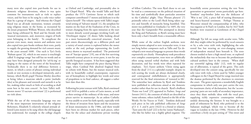many were also copied into part-books for use in domestic religious devotions, where it was quite common for instruments such as viols to replace voices, and for lines to be sung by a solo voice rather than by a group of singers. And whereas the Chapel Royal was an all-male institution, women certainly sang religious music in the home, as recounted by the Jesuit proponent William Weston, who described mass being celebrated by Byrd and his friends with 'musical instruments, and, moreover, singers of both sexes belonging to the family'. To complicate the picture even more, many motets and anthems were also copied into part-books without their texts, partly to supply the growing demand for viol consort music in the years around 1600. One such is Tye's lively 'Rubum quem' [4], which in one source is touchingly called 'A singinge songe' but still has no words and so may have been designed primarily for 'sol-fa-ing' or singing to the names of the notes of the hexachord. Technically there is no real difference between a motet, in which a series of phrases setting individual words or text sections is developed imitatively, and a fantasy, which Byrd's pupil Thomas Morley describes as being 'when a musician taketh a point [melodic idea] at his pleasure and wresteth and turneth it as he list, making either much or little of according as shall seem best in his own conceit'. So here Tallis's wellknown motet 'O sacrum convivium' [2] is performed on viols alone.

While the use of the vernacular language was one of the most important innovations of the religious Reformers, Elizabeth I's relatively relaxed attitude allowed Latin motets to be sung where the old language was understood, for example in the college chapels at Oxford and Cambridge, and presumably also in her Chapel Royal. Why else would Tallis and Byrd produce the 1575 *Cantiones Sacrae* to which each composer contributed 17 motets and dedicate it to the Queen herself? The volume opens with Tallis's magisterial setting of 'Salvator mundi' [1], the antiphon for matins on the feast of the Exaltation of the Cross, its texture changing from the open imitation at the start to more densely scored passages invoking God's aid. 'Derelinquit impius' [3] shows Tallis looking ahead to a more harmonically conceived structure. Each part enters disconcertingly on a different pitch and a variety of tonal centres is explored before the motet settles at the end, perhaps representing the Lord's mercy shown to wayward mankind. The penitential text of 'Suscipe quaeso' [19], one of the few surviving sixteenth-century pieces in seven parts, is not for any specific liturgical occasion. It has been suggested that Tallis might have composed the piece during Mary's reign, when Cardinal Pole absolved England from its schism with Rome, but the mature musical style, with its beautifully crafted counterpoint, expressive use of homophony to highlight key words and sense of propulsion to its final cadence, all suggest a rather later date than this.

Following his joint venture with Tallis, Byrd continued until 1610 to publish a series of Latin motets, as well as three settings of the ordinary of the mass, and more pieces survive in manuscript. As an ardent Catholic he was unable to avow his faith openly, especially with the threat of invasion from Spain and the incursions of Jesuit missionaries in the 1580s, and there would have been no obvious market for such pieces, other than for the solace and clandestine private worship of fellow Catholics. The texts Byrd chose to set can be read as a commentary on the political situation of his time and symbolically draw particular attention to the Catholics' plight. Thus 'Plorans ploravit' [7] pointedly refers to the Lord's flock being taken captive and foretells of monarchs being humbled. This motet was published in *Gradualia I* in 1605, the very year that the Gunpowder Plot attempted to destroy the King and Parliament, so Byrd's setting must have been only a hair's breadth from a treasonable offence.

While some of the earliest English anthems were simply motets adapted to new vernacular texts, it was not long before composers such as Tallis and Tye developed a new musical language to present these words expressively yet clearly. Homophony took precedence over complex counterpoint, texts were set syllabically often using natural verbal rhythms and with little decoration, and key words were often repeated for emphasis. Tye's Easter anthem 'Christ rising again from the dead' [11] is a splendid example: despite its rich scoring the words are always declaimed clearly, and contrapuntal embellishment is appropriately reserved for the final reiterations of 'restored to life'. The somewhat later anthems by Byrd and Tomkins were published in collections aimed at the domestic market rather than for use in church. Byrd's ebullient 'Praise our Lord' [25] appeared in *Psalmes, Songs and Sonnets* (1611), the contents of which are described as 'some solemne, others ioyfull, framed to the life of the Words: Fit for Voyces or Viols'. Tomkins dedicated each piece in his sole published collection of *Songs of 3. 4. 5. and 6. parts* (1622) to a friend or relation. 'Turn unto the Lord' [22] is for his 'sonne Nathanael', who like his father was a highly gifted organist. The beautifully serene peroration setting the text 'from generation to generation' seems particularly apt here. Tomkins' step-brother John was the dedicatee of 'Woe is me' [24], a piece full of searing dissonances and heavy-hearted sentiment. Perhaps Thomas at Worcester missed the companionship of John, who was organist at St Paul's in London, but by 1627 both brothers were reunited as Gentlemen of the Chapel Royal.

Although Tye left no songs with secular texts, Tallis did: they might either be performed by vocal consorts or by a solo voice with viols, highlighting the solo texted line but weaving an ever-changing texture of independent musical lines beneath it. The texts chosen tended to have a high moral tone, or explored the melancholy that was to become the predominant cultural aesthetic later in the century. 'When shall my sorrowful sighing slake' [12], with its regular use of alliteration, is typical of the genre. This style developed into the consort song, specifically for one solo voice with viols, a form used by Tallis's younger colleagues in the Chapel Royal for songs inserted into the dramas performed by the choristers to entertain the court. The genre represents a wonderfully English compromise in which only one part carries the text, for maximum clarity of declamation, but the 'accompanying' parts are not really of secondary importance, since they share melodic ideas with the vocal part, supplying richly expressive counterpoint without unduly distracting the listener. It was brought to a peak of refinement by Byrd, who preferred it to the Italianate madrigal, which was to become all the vogue in London in the late 1590s. However he did contribute a lively six-part setting of 'This sweet and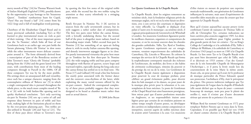merry month of May' [16] for Thomas Watson's book of *Italian Madrigalls Englished* (1590), possibly drawn by the opportunity to pay homage to his 'beauteous Queen'. Tomkins' rumbustious hunt for Cupid, 'Oyez! Has any found a lad?' [14] comes from his 1622 *Songs* and is full of madrigalian word-painting.

Choirboys of the Elizabethan Chapel Royal and in many provincial cathedrals (including Tye's at Ely) learned to play instrumental music on viols as part of their training. One of the most important genres was the 'In Nomine', which links all four of our Gentlemen back to an earlier age: one part holds the Sarum plainsong 'Gloria tibi Trinitas' in slow notes while the other instruments weave delicate counterpoint around it. The form ultimately derived from a transcription of part of the Benedictus section of John Taverner's mass 'Gloria tibi Trinitas' (probably dating from the 1520s) and the genre lasted over 150 years, with contributions from most of the leading composers through to Purcell in the 1680s. Of all these composers Tye was by far the most prolific. His settings show an unsurpassed skill and versatility, since each has a unique character, ranging from the contemplative stillness of 'Beleeve me' [5] in which a single contrapuntal idea is pursued throughout the whole piece, to the much more complex mood of 'Re la re' [6] with its bold fanfare-like opening and its quirky rhythmical conclusion. Tye's only surviving six-part In Nomine [10] sets up a series of call and response ideas between its pairs of treble and bass viols, making light of the limitations placed on them by the ever-present plainsong part. Two trebles are also utilised in 'Rounde' [20] and 'Saye so' [21]. The first of these pays direct tribute to Taverner's mass by quoting the first few notes of the original treble part, while the second has the two trebles vying for attention as they scurry relentlessly in a swinging triple metre.

Byrd's five-part In Nomine No. 3 [8] survives in sources from the early seventeenth century, but its style suggests a rather earlier date of composition. The first two parts enter before the cantus firmus, with a lyrically undulating theme, but the second half of the piece is altogether more radiant, based on descending major triads. Tallis's second four-part In Nomine [13] has something of an open-air feeling about it, with its stocky Italian canzona-like opening, and densely interwoven arpeggio figures at its close. For purely instrumental virtuosity the prize here must go to Tomkins for his first three-part In Nomine [23]: the wide-ranging treble and bass parts compete throughout with flurries of quavers, octave leaps and wayward triplets, especially during the long coda once the cantus firmus has settled on to its final note. His Pavan [17] and Galliard [18] tread a fine line between the stately poise associated with the former dance and the extrovert cross-rhythms of the latter, while exploiting the many varied textures offered by the six-part consort. Indeed the contrapuntal complexity of these pieces probably suggests that they were designed to be heard as chamber music rather than used as actual dances.

© 2008 John Bryan

#### **Les Quatre Gentlemen de la Chapelle Royale**

La Chapelle Royale, dont les origines remontent au treizième siècle, était la fondation religieuse privée du monarque anglais, où le roi ou la reine faisait ses dévotions, avec à son service des courtisans et dignitaires en visite officielle. La Chapelle se déplaçait d'un palais à l'autre avec le monarque ; au seizième siècle, il s'agissait principalement de Greenwich et de Whitehall à Londres. Ses musiciens Gentlemen figuraient parmi les meilleurs chanteurs, organistes et compositeurs du royaume, et on les recrutait souvent dans les chorales des grandes cathédrales. Tallis, Tye, Byrd et Tomkins, les quatre Gentlemen représentés sur cet enregistrement, venaient respectivement des cathédrales de Canterbury, Ely, Lincoln et Worcester. Ils créèrent la musique des services de la Chapelle Royale qui forma la resplendissante contrepartie musicale des richesses de l'architecture, du mobilier, des livres et des habits de cérémonie ecclésiastiques, témoins du pouvoir et du prestige du roi ou de la reine. Les Gentlemen de la Chapelle Royale étaient également à disposition pour pourvoir la cour de musique profane, pour célébrer un grand événement public, pour divertir dans les bals masqués et les danses, ou pour jouer de la musique plus privée pour la relaxation et la contemplation de leurs mécènes. Le poste de Gentleman of the Chapel Royal était ainsi hautement prestigieux, bien mieux payé que d'autres professions musicales en Angleterre, et ses responsabilités étaient assez légères pour que certains de ses titulaires puissent en même temps remplir d'autres postes, ou développer des carrières en indépendants comme compositeurs et interprètes, souvent auprès de nobles mécènes dont ils avaient attiré l'attention à la cour. Ces musiciens

d'élite étaient en mesure de perpétrer une expertise musicale traditionnelle, une génération de Gentlemen influençant la suivante, mais aussi d'expérimenter de nouvelles idées musicales au cœur du creuset que leur apportait la Chapelle Royale.

Bien qu'il n'existe aujourd'hui aucune preuve écrite confirmant l'année de naissance de Thomas Tallis ni celle de Christopher Tye, certaines indications sur leurs carrières plus avancées suggèrent 1505. Les deux compositeurs travaillèrent pour l'église pendant la plus grande partie de leur vie créative : Tye au King's College de Cambridge et à la cathédrale d'Ely, Tallis à l'abbaye de Waltham, à la cathédrale de Canterbury et d'environ 1543 jusqu'à sa mort en 1585 à la Chapelle Royale. Le lien entre Tye et la Chapelle Royale n'est pas aussi bien documenté que celui de Tallis, mais il se décrivait en 1553 comme « l'un des Gentylmen de la très honorable Chapelle de Monseigneur l'Archevêque », et il porta la livrée royale lors du couronnement de la reine Marie la même année. Avant cela, on peut penser qu'il avait été le professeur de musique particulier du Prince Edouard, quand son protecteur, l'archidiacre d'Ely, était le précepteur du prince. Des preuves indirectes indiquent que Tye joua également de l'orgue dans la chapelle d'Elisabeth (elle aurait déclaré que sa façon de jouer « contenait beaucoup de musique, mais peu pour le plaisir des oreilles »), mais il n'existe pas d'autre document sérieux qui atteste de sa présence à la cour.

William Byrd fut nommé Gentleman en 1572 pour remplacer Robert Parsons qui se noya dans la Trent. Cependant, il est possible que Byrd (né vers 1540) ait chanté comme choriste à la Chapelle Royale s'il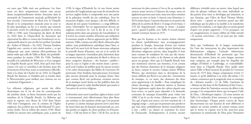est exact que Tallis était son professeur. Les liens entre ces deux compositeurs étaient sans aucun doute exceptionnellement étroits, fructueux dans le monopole de l'imprimerie musicale qu'Elisabeth Ire leur accorda. L'association de Byrd avec la Chapelle Royale et la composition musicale pour la cour se fit plus sporadique au fur et à mesure que montait la pression contre les catholiques pendant les années 1580 et 1590, mais l'inscription du décès de Byrd en 1623 dans le *Cheque-Book* (le document qui répertoriait les allées et venues des Gentlemen) est exceptionnelle dans le sens où elle lui attribue l'accolade de « Father of Musick ». En 1622, Thomas Tomkins l'appelait son « ancien et très vénéré maître », ce qui indiquerait une autre relation élève-professeur du même ordre que celle de Tallis et Byrd, très probablement pendant les années 1590. En 1596, Tomkins travailla à la cathédrale de Worcester, et il ne rejoignit la Chapelle Royale qu'en 1620, bien qu'il était bien connu à la cour et contribua à des hymnes pour des événements d'état bien avant sa nomination officielle. Suite à la chute de Charles Ier en 1642, la Chapelle Royale fut dissoute, et Tomkins pris sa retraite dans le Worcestershire pour méditer avec tristesse sur ses « moments d'égarement ».

Les réformes religieuses, qui eurent des effets dramatiques sur la vie de tous les contemporains du seizième siècle, se firent fortement sentir par les membres de la Chapelle Royale. La Réforme qui suivit la rupture avec Rome de 1534 dont Henri VIII était l'instigateur, avec la création de l'Eglise anglicane, fut accélérée par son fils Edouard VI, protestant résolu. Vers le milieu des années 1550, Marie rétablit les anciens rites catholiques, puis, à partir de

1558, le règne d'Elisabeth Ire vit une forme moins puritaine de l'anglicanisme qui tenta de réconcilier les services anglais faciles à comprendre avec une partie de la splendeur rituelle du rite catholique. Pour les musiciens d'église, cette époque a dû être difficile, et chacun de nos quatre Gentlemen y a réagi différemment. Christopher Tye est apparemment devenu un anglican convaincu (et, vers la fin de sa vie, il fut ordonné prêtre dans une paroisse du Lincolnshire), et il écrivit un certain nombre d'hymnes qui utilisaient la tournure simple et directe approuvée par les Réformateurs. Tallis, comme son élève Byrd, réfractaire plus ardent, resta probablement catholique dans l'âme, et bien qu'il ait aussi écrit de beaux morceaux adoptant la nouvelle forme d'hymnes, son art et la variété de sa langue expressive s'entendent plus clairement dans ses motets latins. La production de Byrd se divise en deux catégories distinctes : des hymnes « publics » pour la cour et l'église et des motets latins « privés » qu'il avait l'audace de publier pour les messes secrètes et les cultes domestiques des fidèles de l'ancienne foi persécutée. Pour Tomkins, bien plus jeune, il n'existait plus aucune demande pour la musique latine, bien que, comme Byrd, son professeur, certaines œuvres de sa musique sacrée furent en fait publiées dans des anthologies pour le cadre familial plutôt que jouées à l'occasion de services religieux.

La frontière entre sacré et profane, église et foyer, vocal et instrumental, était effectivement bien plus floue aux seizième et dix-septième siècles que l'on pourrait le penser. La même musique pouvait servir aussi bien de motet latin que de fantaisie instrumentale ou, avec des paroles en anglais, de chant profane ou d'hymne. Ainsi, « I lift my heart to Thee » [9] de Tye, un de ses morceaux les plus connus si l'on se fie au nombre de sources ayant survécu à l'épreuve du temps, nous est également parvenu sans texte, mais avec dans certaines sources un titre en latin (« Amavit eum Dominus »). De la même façon, l'enjouée fantaisie en six parties du début de la carrière de Byrd (« A songe of tow bases ») [15] fut réquisitionnée comme le motet « Laudate pueri » quand il publia, avec Tallis, le recueil majeur intitulé *Cantiones Sacrae* en 1575.

Bien que les hymnes et les motets étaient chantés en chœur (probablement sans accompagnement) pendant la liturgie, beaucoup d'entre eux étaient également copiés sur des cahiers séparés destinés aux dévotions religieuses privées, dans lesquelles il était assez courant de remplacer les voix par des instruments tels que les violes, et de chanter en solo plutôt qu'en un groupe. Alors que la Chapelle Royale était une institution réservée aux hommes, il est certain que des femmes chantaient de la musique religieuse au foyer, comme le raconte l'adepte jésuite William Weston, qui mentionne dans sa description de la messe célébrée par Byrd et ses amis des « instruments de musique, et, en outre, des chanteurs des deux sexes appartenant à la famille ». Pour compliquer les choses davantage, de nombreux motets et hymnes furent également copiés dans des cahiers séparés sans leurs textes, en partie pour répondre à la demande croissante de musique d'ensemble pour violes vers 1600. C'est le cas du vivant « Rubum quem » [4] de Tye, qui, d'après une source, a le titre touchant de « A singinge songe » , mais qui est pourtant sans paroles et qui était donc probablement destiné essentiellement à être « solfié » ou chanté en nommant les notes de l'hexacorde. Techniquement, il n'existe aucune différence véritable entre un motet, dans lequel une série de phrases utilisant des mots individuels ou des parties d'un texte se développe par imitation, et une fantaisie, que l'élève de Byrd Thomas Morley décrit ainsi : « quand un musicien prend une idée mélodique qui lui plaît et la modèle et la transforme comme il le souhaite, à un degré plus ou moins grand d'après son propre jugement. » C'est pourquoi, sur cet enregistrement, le motet célèbre de Tallis intitulé « O sacrum convivium » [2] est joué par des violes uniquement.

Alors que l'utilisation de la langue vernaculaire fut l'une des innovations les plus importantes des Réformateurs religieux, l'attitude relativement décontractée d'Elisabeth Ire permettait que l'on chante des motets latins où cette langue ancienne était comprise, par exemple dans les chapelles des collèges d'Oxford et Cambridge, et vraisemblablement dans sa Chapelle Royale. Pour quelle autre raison Tallis et Byrd auraient-ils produit les *Cantiones Sacrae* de 1575 dont chaque compositeur écrivit 17 motets et qu'ils dédièrent à la reine elle-même ? Ce volume commence par la magistrale mise en musique de « Salvator mundi » [1] de Tallis, l'antienne de « Matins on the feast of the Exaltation of the Cross », sa texture allant de l'imitation ouverte du début à des passages à la composition dense qui invoquent l'aide de Dieu. « Derelinquit impius » [3] nous montre un Tallis à la recherche d'une structure à la conception plus harmonique. Chaque partie s'ouvre de façon déconcertante sur une hauteur de note différente et explore un certain nombre de centres tonaux avant que le motet ne s'apaise vers la fin, peut-être pour représenter la miséricorde de Dieu pour l'humanité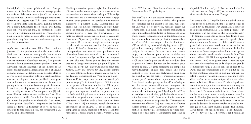indisciplinée. Le texte pénitentiel de « Suscipe quaeso » [19], l'un des rares morceaux en sept parties du seizième siècle ayant survécu jusqu'à nos jours, ne fut pas écrit pour une occasion liturgique particulière. Certains ont suggéré que Tallis aurait composé ce morceau pendant le règne de Marie, quand le cardinal Pole a absous l'Angleterre de son schisme avec Rome, mais son style musical mûr, au contrepoint réalisé avec art, à l'utilisation expressive de l'homophonie pour la mise en valeur de mots-clés et un sens de la propulsion jusqu'à sa décadence finale, tous suggèrent une date plus tardive.

Après son association avec Tallis, Byrd continua jusqu'en 1610 à publier une série de motets latins, ainsi que trois mises en musique de l'ordinaire de la messe, et on possède aujourd'hui les manuscrits d'autres morceaux. Catholique fervent, il ne pouvait avouer sa foi ouvertement, surtout pendant la menace d'invasion venant d'Espagne et les incursions de missionnaires jésuites dans les années 1580, et aucune demande évidente de tels morceaux n'existait alors, si ce n'est pour la consolation et le culte privé clandestin d'autres catholiques. Les textes que Byrd choisit peuvent se lire comme un commentaire sur la situation politique de son époque et ils attirent particulièrement l'attention symboliquement sur la situation critique des catholiques. Ainsi « Plorans ploravit » [7] fait ostensiblement référence aux ouailles de Dieu faites prisonnières et prédit l'humiliation des monarques. Ce motet fut publié dans *Gradualia I* en 1605, l'année pendant laquelle la Conspiration des Poudres essaya de détruire le Parlement et le roi, la mise en musique de Byrd ayant dû être, par conséquent, à un cheveu du délit de trahison.

Tandis que certains hymnes anglais les plus anciens n'étaient que des motets adaptés aux nouveaux textes vernaculaires, des compositeurs tels que Tallis et Tye ne tardèrent pas à développer un nouveau langage musical pour présenter ces paroles d'une manière expressive et pourtant claire. L'homophonie eut priorité sur le complexe contrepoint, les textes furent écrits de manière syllabique, utilisant des rythmes verbaux naturels et avec peu d'ornements, et les mots-clés étaient souvent répétés pour les accentuer. L'hymne de Pâques de Tye « Christ rising again from the dead » [11] en est un exemple splendide : malgré la richesse de sa mise en partition, les paroles sont toujours déclamées clairement, et l'embellissement contrapuntique est réservé avec pertinence aux réitérations finales de « restored to life » (« ramené à la vie »). Les hymnes de Byrd et Tomkins composés un peu plus tard furent publiés dans des recueils destinés à l'usage privé plutôt que pour l'Eglise. Le « Praise our Lord » [25] exubérant de Byrd parut dans *Psalmes, Songs and Sonnets* (1611), décrits comme « certains solennels, d'autres joyeux, cadrés sur la vie des Paroles. Conviennent aux Voix ou aux Violes ». Tomkins dédia chaque morceau du seul recueil qu'il publia, *Songs of 3. 4. 5. and 6. parts* (1622) à un ami ou un parent. « Turn unto the Lord » [22] est pour son fils (« sonne Nathanael »), qui était, comme son père, un organiste de talent. La péroraison à la très belle sérénité qui met le texte en musique « de génération en génération » semble particulièrement pertinente ici. Tomkins dédia à John, son demi-frère, « Woe is me » [24], un morceau rempli de virulentes dissonances et de chagrin. Il est possible que la compagnie de John, organiste à St Paul à Londres, manquait à Thomas quand il était à Worcester, mais vers 1627, les deux frères furent réunis en tant que Gentlemen de la Chapelle Royale.

Bien que Tye n'ait laissé aucune chanson à texte profane, il n'en est pas de même deTallis : elles peuvent être exécutées par un ensemble de voix, mais aussi par une voix solo et des violes, mettant l'accent sur le texte solo, mais tissant une texture changeante de lignes musicales indépendantes en dessous. Les textes choisis avaient tendance à avoir un ton très moral, ou ils exploraient la mélancolie qui devint plus tard, dans le même siècle, l'esthétique culturelle dominante. « When shall my sorrowful sighing slake » [12], qui utilise beaucoup l'allitération, est un exemple typique de ce genre. Ce style mena aux consort songs, particulièrement pour une voix et violes, une forme dont se servaient ses collègues plus jeunes à la Chapelle Royale pour des chants introduits dans les pièces de théâtre données par les choristes pour divertir la cour. Ce genre représente un compromis merveilleusement anglais dans lequel une partie soutient le texte, pour une déclamation aussi claire que possible, mais les parties « d'accompagnement » ne sont pas réellement d'une importance secondaire, étant donné qu'elles partagent des idées mélodiques avec les parties vocales, offrant un contrepoint très riche sans trop distraire l'auditeur. Ce genre atteint le sommet du raffinement grâce à Byrd, qui le préférait au madrigal de style italien, qui devint très en vogue à la fin des années 1590. Cependant, il offrit une mise en musique vivante en six parties de « This sweet and merry month of May » [16] pour le recueil de Thomas Watson intitulé *Italian Madrigalls Englished* (1590), probablement attiré par l'opportunité de rendre hommage à sa « belle reine ». L'exubérante recherche de

Cupid de Tomkins, « Oyez ! Has any found a lad ? » [14], est tirée de *Songs* (1622) et regorge de traductions madrigaliennes sonores d'images.

Les chœurs de la Chapelle Royale élisabéthaine et ceux de bon nombre de cathédrales de province (dont celle d'Ely où travaillait Tye) apprenaient à jouer de la musique instrumentale à la viole pendant leur formation. L'un des genres les plus importants était l' « In Nomine », qui relie les quatre Gentlemen à une époque plus ancienne : une partie s'occupe du plainchant selon le rite Sarum avec « Gloria tibi Trinitas » grâce à des notes lentes tandis que les autres instruments font un délicat contrepoint autour d'elles. La forme est en fin de compte dérivée d'une transcription d'une partie du benedictus de la messe de John Taverner « Gloria tibi Trinitas » (probablement à partir des années 1520) et ce genre perdura pendant 150 ans, avec des contributions de la plupart des grands compositeurs jusqu'à Purcell dans les années 1680. Parmi tous ces compositeurs, c'est Tye qui fut de loin le plus prolifique. Ses mises en musique montrent un talent et une polyvalence inégalés, car chacune d'entre elles possède un caractère unique, allant du calme contemplatif de « Beleeve me » [5] dans lequel une seule idée contrapuntique continue tout au long du morceau, à l'humeur beaucoup plus complexe de « Re la re » [6] à l'ouverture audacieuse à la façon d'une fanfare et à la conclusion rythmique excentrique. Le seul In Nomine [10] en six parties subsistant de Tye est une série d'idées d'appels et de réponses entre ses paires de dessus et de basses de violes, révélant les limites que le plain-chant toujours présent leur impose. Deux dessus sont également utilisés dans « Rounde » [20] et « Saye so » [21]. Le premier rend hommage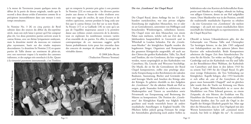à la messe de Taverneren jouant quelques notes du début de la partie de dessus originale, tandis que le second a deux dessus avides d'attention comme ils se précipitent inexorablement dans une mesure à trois temps entraînante.

In Nomine No. 3 [8] en cinq parties de Byrd subsiste dans des sources du début du dix-septième siècle, mais son style laisse à penser qu'il fut composé plus tôt. Les deux premières parties arrivent avant le cantus firmus, avec un thème lyriquement ondoyant, mais la deuxième moitié du morceau est vraiment plus rayonnante, basée sur des triades majeures descendantes. Le deuxième In Nomine [13] en quatre parties de Tallis donne un sentiment de plein-air, avec son ouverture trapue à la manière des canzones italiennes, et des arpèges très entrelacés à la fin. Quant à la virtuosité purement instrumentale, c'est Tomkins qui en remporte le premier prix grâce à son premier In Nomine [23] en trois parties : les diverses parties jouées aux dessus et basses de violes rivalisent avec toute une vague de croches, de sauts d'octave et de triolets capricieux, surtout pendant le long coda une fois que le cantus firmus s'est fixé sur sa note finale. Sa Pavane [17] et sa Gaillarde [18] ne sont qu'à un pas de l'équilibre majestueux associé à la première danse aux rythmes croisés extravertis de la dernière, tout en explorant les nombreuses textures variées d'un ensemble de six parties. En effet, la complexité contrapuntique de ces morceaux suggère qu'ils furent probablement écrits pour être entendus dans des concerts de musique de chambre plutôt que de véritables danses.

© 2008 John Bryan (Traduction Florence Yeoman)



#### **Die vier "Gentlemen" der Chapel Royal**

Die Chapel Royal, deren Anfänge bis ins 13. Jahrhundert zurückreichen, war eine private religiöse Einrichtung der englischen Monarchen, wo er oder sie an Gottesdiensten, unterstützt von Höflingen und besuchenden Würdenträgern, teilnehmen konnte. Die Chapel reiste mit dem Monarchen von einem Palast zum nächsten, welche sich zur Zeit des 16. Jahrhunderts hauptsächlich in Greenwich und in Whitehall in London befanden. Für die "Gentleman-Musiker" der königlichen Kapelle wurden die begabtesten Sänger, Organisten und Komponisten des gesamten Königreichs ausgewählt, oft auch aus den Chören der großen Kathedralen. Tallis, Tye, Byrd und Tomkins, die vier Gentlemen, die hier vorgestellt werden, waren ursprünglich an den Kathedralen von Canterbury, Ely, Lincoln und Worcester beschäftigt. Die Musik, die sie für die Gottesdienste der Royal Chapel komponierten, stellte eine prächtige akustische Entsprechung zu den Reichtümern der sakralen Baukunst, Ausstattung, Bücher und Gewänder dar, und bezeugte Macht und Ansehen des Königs oder der Königin. Es gehörte ebenfalls zu den Aufgaben der "Gentlemen", für die säkulare Musik am Hof zu sorgen, große Staatsakte festlich zu zelebrieren, mit Maskenspielen und Tänzen zu unterhalten sowie Privatmusik zur Entspannung und Besinnung des Mäzens zu komponieren. Die Position der "Gentlemen" der Königlichen Kapelle war folglich hoch geschätzt und wurde wesentlich besser als andere musikalische Anstellungen in England bezahlt. Die Pflichten ließen jedoch genug Freiraum für einige der Amtsinhaber, gleichzeitig noch andere Stellen zu

bekleideten oder eine Karriere als freiberuflicher Komponist und Musiker zu verfolgen, oftmals im Auftrag von adligen Gönnern, denen sie am Hof aufgefallen waren. Diese Musikerelite war in der Position, sowohl die traditionelle musikalische Expertise zu erhalten – da eine Generation von "Gentlemen" die nächste mitprägte – als auch mit neuen musikalischen Ideen innerhalb des Schmelztiegels zu experimentieren, den die Chapel Royal bot.

Obwohl es keinen Urkundenbeweis gibt, der das Geburtsjahr von Thomas Tallis und Christopher Tye bestätigen könnte, ist das Jahr 1505 aufgrund von Anhaltspunkten aus den späteren Jahren ihrer Karriere sehr wahrscheinlich. Beide Komponisten arbeiteten die längste Zeit ihres künstlerischen Daseins für die Kirche. Tye wirkte am King's College in Cambridge und an der Kathedrale von Ely und Tallis an der Benediktiner-Abtei Waltham, der Kathedrale von Canterbury und dann in den Jahren 1543 bis zu seinem Tod 1585 für die Chapel Royal. Es gibt zwar wenige Dokumente, die Tyes Verbindung zur Königlichen Kapelle belegen, aber 1553 beschreibt er sich selbst als "one of the Gentylmen of hys graces most honourable Chappell" und im gleichen Jahr wurde ihm die Tracht zur Krönung von Maria I. Tudor gewährt. Wahrscheinlich ist er zuvor der Musiklehrer von Prinz Edward gewesen, zu einem Zeitpunkt, als sein Mentor, der Erzdekan von Ely, Hauslehrer des Prinzen war. Es gibt einen stichfesten Nachweis darüber, dass Tye auch die Orgel in der Kapelle der Königin Elisabeth gespielt hat. Man sagt über die Monarchin, dass sie Tyes Orgelspiel mit den Worten kommentiert haben soll "contained much musick, but little to delight the ear". Es existieren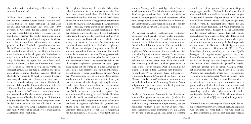aber keine weiteren eindeutigen Beweise für seine Anwesenheit am Hof.

William Byrd wurde 1572 zum "Gentlemen" ernannt und ersetzte Robert Parsons Position nach dessen frühen Tod durch Ertrinken im Trent. Es ist durchaus wahrscheinlich, dass Byrd (um 1540 geboren) als Chorknabe für die Chapel Royal gesungen hat, wobei Tallis sein Lehrer gewesen sein soll. Die Bande zwischen den beiden Komponisten war mit Sicherheit außergewöhnlich eng und fruchtbar durch das Monopol im Musikdruck, was beiden gemeinsam durch Elisabeth I. gewährt worden war. Byrds Zusammenarbeit mit der Chapel Royal und sein musikalisches Mitwirken am Hof wurden unter dem zunehmenden Druck gegen die Katholiken in den Jahren zwischen 1580 und 1590 immer seltener. 1623 findet sich zu Byrds Tod im *Cheque-Book*, einem Dokument, in dem das Kommen und Gehen der "Gentlemen" schriftlich festgehalten wurde, ein einzigartiger Eintrag, der Byrd als "Ffather of Musick" auszeichnet. Thomas Tomkins verweist 1622 auf Byrd als "my ancient, & much reverenced Master", was möglicherweise ein Hinweis auf eine weitere Lehrer-Schüler-Beziehung sein kann, ähnlich der zwischen Tallis und Byrd in den Jahren um 1590. Um 1596 war Tomkins an der Kathedrale von Worcester angestellt, aber erst 1620 wurde er zum "Gentlemen" der Königlichen Kapelle ernannt, obwohl er schon lange vor seiner offiziellen Berufung am Hof bekannt war und Hymnen für Staatsanlässe komponiert hatte. In der Zeit nach dem Tod von Charles I. im Jahr 1642 wurde die Royal Chapel aufgelöst. Tomkins zog sich nach Worcestershire zurück, wo er traurig seinen "distracted times" nachhing.

Die religiösen Reformen, die auf das Leben eines jeden Einzelnen im 16. Jahrhundert einen tiefen Einfluss hatten, waren innerhalb der Königlichen Kapelle schmerzhaft spürbar. Die von Heinrich VIII. durch seinen Bruch mit Rom in Gang gesetzte Reformation im Jahr 1534, auf deren Grundlage die Anglikanische Kirche entstand, wurde durch seinen streng protestantischen Sohn Edward VI. noch beschleunigt. Mitte der fünfziger Jahre wurden unter Maria I. zahlreiche katholische Bräuche wieder eingeführt und ab 1558 entstand unter der Herrschaft von Elisabeth I. eine weniger puritanische Form des Anglikanismus, die ein Versuch war, den leicht verständlichen englischen Gottesdienst mit einigen der prachtvollen Ritualen aus dem römischen Ritus zu verbinden. Für Kirchenmusiker müssen es schwierige Zeiten gewesen sein und jeder von unseren vier "Gentlemen" reagierte auf verschiedene Weise. Christopher Tye scheint ein überzeugter Anglikaner geworden zu sein (gegen Ende seines Lebens wurde er in einer Gemeinde in Lincolnshire zum Pfarrer ordiniert), und er komponierte zahlreiche Hymnen im einfachen, direkten Ansatz der Wortbetonung, wie er von den Reformatoren anerkannt wurde. Tallis, wie auch sein Schüler Byrd, der ein leidenschaftlicher Gegner der anglikanischen Kirche war, blieb wahrscheinlich im Grunde seines Herzens Katholik. Obwohl auch er einige wunderbare Werke im neuen Hymnenstil komponiert hat, kommen seine Kunstfertigkeit und die Vielfalt seines Ausdrucks deutlicher in seinen lateinischen Motetten zur Geltung. Byrds Kompositionen lassen sich in zwei deutliche Kategorien aufteilen: die "öffentlichen" Hymnen für den Hof und die Kirche, und die "privaten" lateinischen Motetten, die er wagemutig für die heimlichen Gottesdienste veröffentlichte, die von den Anhängern dieses verfolgten alten Glaubens abgehalten wurden. Zur Zeit des wesentlich jüngeren Tomkins gab es keinen Bedarf mehr an lateinischer Musik. Es wurden jedoch, wie auch von seinem Lehrer Byrd, einige Werke seiner Sakralmusik in Sammlungen veröffentlicht. Diese waren allerdings eher für den Hausgebrauch als für den Gottesdienst bestimmt.

Die Grenzen zwischen geistlicher und weltlicher, kirchlicher und häuslicher sowie vokaler und instrumentaler Musik waren im 16. und 17. Jahrhundert wesentlich unschärfer als meist angenommen wird. Dieselbe Musik konnte entweder für eine lateinische Motette, eine instrumentale Fantasie oder mit englischen Worten versehen, für ein weltliches Lied oder eine Hymne eingesetzt werden. Daher kennen wir Tyes "I lift my heart to Thee"[9] (eines seiner beliebtesten Stücke, wenn man nach der Anzahl der erhalten gebliebenen Quellen geht) auch als Werk ohne Text, in einigen Quellen allerdings mit einem lateinischen Titel ("Amavit eum Dominus"). In ähnlicher Weise ist auch Byrds unbeschwerte, 6-stimmige Fantasie ("A songe of tow bases") in die Motette "Laudate pueri" umbenannt worden, damit sie in die bahnbrechende Sammlung *Cantiones Sacrae* aufgenommen werden konnte, die Byrd gemeinsam mit Tallis 1575 herausgebracht hat.

Obgleich Hymnen und Motetten in der Liturgie von einem Chor gesungen worden sind (höchstwahrscheinlich ohne Begleitung), wurden viele von ihnen auch in das sog. Stimmbuch aufgenommen, das der häuslichen Andacht diente. Es war übliche Praxis, dass Singstimmen durch Instrumente wie die Gambe ersetzt und einzelne Zeilen von einer Solostimme

anstelle von einer ganzen Gruppe von Sängern vorgetragen wurden. Während die Chapel Royal eine ausschließlich männliche Institution war, sangen Frauen mit Sicherheit religiöse Musik im Haus, wie von William Weston, einem Anhänger der Jesuiten, berichtet wird. Er beschreibt eine Messe, die von Byrd und seinen Freunden "mit Musikinstrumenten und, darüber hinaus, Sängern beiderlei Geschlechts aus der Familie" zelebriert wurde. Die Sache wurde dadurch noch komplizierter, dass viele Motetten und Hymnen auch ohne Text in das Stimmbuch kopiert wurden, teilweise auch, um die große Nachfrage nach Consortmusik für Gamben zu befriedigen, die um 1600 entstanden war. Genau so ein Werk ist Tyes lebendiges "Rubum quem"[4], das in einer Quelle bewegend "A singinge songe" genannt wird, aber keine Wörter enthält und vielleicht in erster Linie für das "sol-fa-ing" oder das Singen zu den Namen der Noten eines Hexachords geschaffen wurde. Technisch gesehen gibt es keinen richtigen Unterschied zwischen einer Motette, in der eine Serie von Phrasen, die individuelle Worte oder Textabschnitte vertonen, in nachahmender Weise entwickelt wird, und einer Fantasie, die Byrds Schüler Thomas Morley mit den Worten beschreibt: "when a musician taketh a point [melodic idea] at his pleasure and wresteth and turneth it as he list, making either much or little of according as shall seem best in his own conceit". In der vorliegenden Aufnahme wird Tallis bekannte Motette "O sacrum convivium"[2] nur von Gamben gespielt.

Während eine der wichtigsten Neuerungen der religiösen Reformatoren der Gebrauch der Landessprache war, erlaubte die recht lockere Haltung Elisabeth I., dass lateinische Motetten dort gesungen werden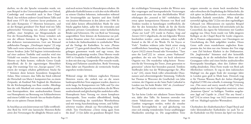durften, wo die alte Sprache verstanden wurde, wie zum Beispiel in den Universitätskapellen von Oxford, Cambridge und vermutlich auch in ihrer Chapel Royal. Aus welchem anderen Grund hätten Tallis und Byrd sonst 1575 die *Cantiones Sacrae* produziert, zu der jeder Komponist 17 Motetten beisteuerte, und sie der Königin gewidmet? Der Band wird mit Tallis gebieterischer Vertonung von "Salvator mundi" [1] eröffnet, einer Antiphon zur Morgenandacht am Fest der Kreuzerhöhung. Ihre Textur verändert sich von der offenen Imitation zu Beginn, bis hin zu den dichteren instrumentierten, Gott um Beistand anflehenden Passagen. "Derelinquit impius" [3] zeigt Tallis nach vorne schauend zu einer harmonisch abgefassten Struktur. Jeder Teil beginnt irritierenderweise auf einer anderen Tonhöhe und zunächst wird eine Vielzahl von tonalen Zentren untersucht, bevor die Motette zur Ruhe kommt, vielleicht Gottes Gnade darstellend, die Er der eigensinnigen Menschheit zeigt. Der reumütige Text von "Suscipe quaeso" [19], einem der wenigen erhalten gebliebenen Stücke für 7 Stimmen dient keinem besonderen liturgischen Anlass. Man vermutet, dass Tallis das Stück während der Herrschaft von Maria I. komponiert hat, zu einem Zeitpunkt, als Kardinal Pole England die Absolution für die Kirchenspaltung von Rom erteilte. Allerdings lässt der reife Musikstil mit seinen wunderbar gestalteten Kontrapunkten, dem ausdrucksstarken Einsatz von Homophonie zur Betonung von Schlüsselwörtern und einem Gefühl von Antrieb hin zur finalen Kadenz eher an ein späteres Datum denken.

In Anschluss an sein Jointventure mit Tallis veröffentlichte Byrd bis 1610 eine lateinische Motetten-Reihe sowie drei Vertonungen für alltägliche Messen und es sind noch weitere Stücke in Manuskripten erhalten. Als glühender Katholik konnte er sich aber nicht öffentlich zu seinem Glauben bekennen, insbesondere während der Invasionsgefahr aus Spanien und dem Einfall von Jesuiten-Missionaren in den Jahren um 1580. Es wird daher keinen offensichtlichen Markt für seine Stücke gegeben haben, außer für die tröstenden und geheimen privaten Gottesdienste seiner katholischen Brüder und Schwestern. Die von Byrd zur Vertonung ausgewählten Texte können als Kommentar zur politischen Situation seiner Zeit verstanden werden und sie lenken die Aufmerksamkeit in symbolischer Weise auf die Notlage der Katholiken. So weist "Plorans ploravit" [7] ganz gezielt darauf hin, dass Gottes Herde gefangen genommen wurde und sagt voraus, dass Monarchen gedemütigt werden. Diese Motette wurde 1605 in *Gradualia I* veröffentlicht, dem gleichen Jahr, in dem mit dem sog. Gunpowder Plot versucht wurde, König und Parlament auszulöschen. Byrds Vertonung hätte daher um Haaresbreite als verräterische Straftat angesehen werden können.

Während einige der frühsten englischen Hymnen Motetten waren, die einfach nur an die neuen landessprachlichen Texte angepasst wurden, dauerte es nicht lange, bis Komponisten wie Tallis und Tye eine neue musikalische Sprache entwickelten, die die Worte ausdrucksstark und gleichzeitig klar ausdrücken sollte. Homophonie hatte Vorrang vor einem komplexen Kontrapunkt, Texte wurden silbenbildend, häufig unter Verwendung des natürlichen Wortrhythmus und mit wenig Ausschmückung vertont, und Schlüsselwörter wurden oftmals zur Hervorhebung wiederholt. Tyes Osterhymne "Christ rising again from the dead" [11]ist dafür ein grandioses Beispiel: Trotz der reichhaltigen Vertonung werden die Wörter stets klar vorgetragen und kontrapunktische Verzierungen sind passenderweise nur den abschließenden Wiederholungen des "restored to life" vorbehalten. Die etwas später komponierten Hymnen von Byrd und Tomkins wurden in Sammlungen veröffentlicht, die eher für den heimischen Markt als für die Kirche vorgesehen waren. Byrds überschwängliche Hymne "Praise our Lord" [25] wurde in *Psalmes, Songs and Sonnets* (1611) abgedruckt, die mit folgenden Worten beschrieben werden: "some solemne, others ioyfull, framed to the life of the Words: Fit for Voyces or Viols". Tomkins widmete jedes Stück seiner einzig veröffentlichten Sammlung von *Songs of 3, 4, 5, and 6 parts* (1622) einem Freund oder Verwandten. "Turn unto the Lord"[22] ist seinem "sonne Nathanael" gewidmet, der wie sein Vater ein hoch talentierter Organist war. Die wunderbar ruhig-heitere Peroration für die Vertonung des Textes "from generation to generation" scheint hier besonders passend. Tomkins Stiefbruder John war der Widmungsträger für "Woe is me" [24], einem Stück voller schneidender Dissonanzen und schwermütigender Stimmung. Vielleicht hat Thomas in Worcester die Gesellschaft von John vermisst, der Organist an der Saint Pauls Cathedral in London war, bis beide Brüder 1667 als "Gentlemen" der Chapel Royal wieder vereint waren.

Tye hat keine Lieder mit säkularen Texten hinterlassen, dafür aber Tallis. Sie konnten entweder von einem Vokalconsort oder einer Solostimme mit Gamben vorgetragen werden, wobei die einzelne Textzeile hervorgehoben ist und gleichzeitig von einer sich ständig verändernden Textur unabhängiger Musikzeilen unterlegt ist. Die ausgewählten Texte

neigten entweder zu einem hoch moralischen Ton oder erforschten die Empfindung der Melancholie, die sich später im Jahrhundert zu einer vorherrschenden kulturellen Ästhetik entwickelte. "When shall my sorrowful sighing slake"[12]ist mit dem regelmäßigen Gebrauch von Alliterationen ein typisches Beispiel für dieses Genre. Aus diesem Stil entwickelte sich das Consortlied, das eigens für Solostimme mit Gamben angelegt war. Diese Form wurde von Tallis jüngeren Kollegen an der Chapel Royal für Lieder eingesetzt, die in Dramen aufgenommen, von Chorsängern zur Unterhaltung des Hofs aufgeführt wurden. Dieses Genre stellt einen wunderbaren englischen Kompromiss dar, bei dem nur eine Stimme den Text trägt – zum Ziel höchster Klarheit in der Deklamation. Die "begleitenden" Stimmen sind aber keinesfalls zweitrangig, da sie die melodischen Ideen mit dem Gesangspart teilen und einen höchst ausdrucksvollen Kontrapunkt hinzufügen, ohne den Zuhörer übermäßig abzulenken. Diese Form wurde von Byrd aufs Allerhöchste verfeinert. Er zog sie dem italienischen Madrigal vor, das gegen Ende der neunziger Jahre in London ganz groß in Mode kam. Dennoch trug er für Thomas Watsons Buch der *Italian Madrigalls Englished* (1590) eine schnelle, 6-stimmige Vertonung von "This sweet and merry month of May"[16] bei, möglicherweise von der Gelegenheit motiviert, seiner "beauteous Queen" zu huldigen. Tomkins ausgelassene Jagd auf Cupido in "Oyez! Has any found a lad?"[14] ist seinen *Songs* von 1622 entnommen und voll von Madrigal-typischer Wortmalerei.

Chorknaben der elisabethanischen Chapel Royal und vieler kleinstädtischer Kathedralen (so auch Tye an der Kathedrale von Ely) lernten das Spiel von Instru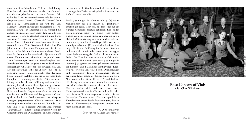mentalmusik auf Gamben als Teil ihrer Ausbildung. Eine der wichtigsten Formen war das "In Nomine", das alle vier "Gentlemen" mit einer früheren Zeit verbindet: Eine Instrumentalstimme hält den Sarum Gregorianischen Choral "Gloria tibi Trinitas" (eine seit dem 13. Jahrhundert in der Kathedrale von Salisbury (Sarum) entwickelte Sonderform der rö mischen Liturgie) in langsamen Noten, während die anderen Instrumente einen zarten Kontrapunkt um sie herum weben. Letztendlich stammt diese Form von einer Transkription eines Teils des Benedictus aus der Messe 'Gloria tibi Trinitas' von John Taverner (vermutlich um 1520). Das Genre hielt sich über 150 Jahre und alle führenden Komponisten bis hin zu Purcell in der Zeit um 1680 haben aus diesem Stück neue Bearbeitungen hervorgebracht. Tye war von all diesen Komponisten bei weitem der produktivste. Seine Vertonungen sind an Kunstfertigkeit und Vielfalt unübertroffen, da jedes einzelne Stück einen einzigartigen Charakter hat. Sie bewegen sich von der kontemplativen Stille des "Beleeve me" [5], in dem eine einzige kontrapunktische Idee das ganz Stück hindurch verfolgt wird, bis zu der wesentlich komplexeren Stimmung des "Re la re" [6], mit seiner kräftigen, fanfarenhaften Eröffnung und dem skur rilen rhythmischen Abschluss. Tyes einzig erhalten gebliebenes 6-stimmiges In Nomine [10] baut eine Reihe von Ideen im Frage-Antwort-Schema zwischen den Paaren der Diskant- und Bassgamben auf und spielt dadurch die Beschränkungen des allgegen wärtigen gregorianischen Chorals herunter. Zwei Diskantgamben werden auch für das 'Rounde' [20] und 'Saye so' [21] eingesetzt. Das erste Stück würdigt Taverners Messe, indem es einige der ersten Noten der Originalstimme der Diskantgambe anführt, während im zweiten beide Gamben unaufhaltsam in einem schwungvollen Dreiertakt trippelnd, miteinander um Aufmerksamkeit wetteifern.

Byrds 5-stimmiges In Nomine No. 3 [8] ist in Manuskripten aus dem frühen 17. Jahrhundert erhalten geblieben, aber sein Stil lässt eher auf ein früheres Kompositionsdatum schließen. Die beiden ersten Stimmen setzen mit einem lyrisch-sanften Thema vor dem Cantus firmus ein, aber die zweite Hälfte des Stückes ist insgesamt wesentlich strahlender durch absteigende Dur-Dreiklänge. Tallis zweites 4 stimmiges In Nomine [13] vermittelt mit seiner stäm mig italienischen Eröffnung im Stil einer Kanzone und den dicht miteinander verwobenen Arpeggios gegen Ende ein wenig das Gefühl, als wäre man im Freien. Der Preis für reine instrumentale Virtuosität muss aber an Tomkins für sein erstes 3-stimmiges In Nomine [23] gehen: die breit gefächerten Stimmen der Diskant- und Bassgamben konkurrieren durch weg mit Wirbeln von Achtelnoten, Oktavsprüngen und eigensinnigen Triolen, insbesondere während der langen Koda, sobald der Cantus firmus die letzte Note erreicht hat. Seine Pavan [17] and Galliard [18] bewegen sich auf einer feinen Linie zwischen der würdevollen Gelassenheit, die mit dem ersten Tanz verbunden wird, und den extrovertierten Kreuzrhythmen des zweiten Tanzes, indem die vielen verschiedenen Texturen ausgenutzt werden, die das 6-stimmige Consort bietet. Die kontrapunktische Komplexizität dieser Stücke lässt vermuten, dass sie eher als Kammermusik komponiert wurden und nicht eigentlich als Tänze.

© 2008 John Bryan (Übersetzt von Claudia Schottlander)



**Rose Consort of Viols with Clare Wilkinson**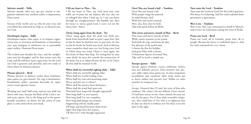#### **Salvator mundi ~ Tallis**

Salvator mundi, salva nos, qui per crucem et sanguinem redemisti nos; auxiliare nobis, te deprecamur, Deus noster.

— Saviour of the world, save us, who by your cross and your blood has redeemed us; help us, we beseech you, our God.

#### **Derelinquit impius ~ Tallis**

Derelinquit impius viam suam, et vir iniquus cogitationes suas; et revertatur ad Dominum, et miserebitur eius: quia benignus et misericors est, et praestabilis super malitia, Dominus Deus noster.

—

The wicked man forsakes his ways, and the unrighteous man his thoughts; and let him return unto the Lord, and He will have mercy upon him: for the Lord our God is gracious and merciful, and ever ready to relent when he threatens disaster.

#### **Plorans ploravit ~ Byrd**

Plorans ploravit et deducet oculus meus lachrimas, quia captus est, grex domini. Dic regi et dominatrici, humiliamini sedete, quoniam descendit de capite vestro corona gloriae vestrae.

—

#### Weeping [my soul] shall weep, and my eyes shall run down with tears, because the flock of the Lord is carried away captive. Say to the King and to the queen:

humble yourselves, sit down: for the crown of your glory is come down from your head.

#### **I lift my heart to Thee ~ Tye**

I lift my heart to Thee, my God most just; now suffer me to pour out my 'plaints. My sins, alas, are so enlarged that when I look up, lo, I am cast down through my unrighteousness. My humble suit, then for mercy is: mercy, good Lord, I crave. Let me thy mercy have. Amen.

#### **Christ rising again from the dead ~ Tye**

Christ rising again from the dead now dieth not: death from henceforth hath no pow'r upon him. But in that he died, he died but once to put away sin: but in that he liveth, he liveth unto God. And so likewise count yourselves dead unto sin: but living unto God in Christ Jesus our Lord. Christ is risen again: the first fruits of them that sleep. For seeing that by man came death: by man also cometh the resurrection of the dead. For as in Adam all men do die: so by Christ all men shall be restored to life.

#### **When shall my sorrowful sighing slake ~ Tallis**

When shall my sorrowful sighing slake, When shall my woeful wailing cease, When shall my tears and mourning make Mercy and pity me to release? When shall the pensive heart find peace, When shall the mind find quiet rest, That hath been long with thought oppressed? How long shall I in woe lament, How long shall I in care complain, How long shall danger me torment, Augmenting still my deadly pain? Till hope and dread between them twain Agree that hope have her request, Till then live I with thought oppressed.

#### **Oyez! Has any found a lad? ~ Tomkins**

Oyez! Has any found a lad With purple wings fair painted, In naked beauty clad? With how and arrows tainted. Here, alas, here close he lieth. Take him quick before he flieth.

#### **This sweet and merry month of May ~ Byrd**

This sweet and merry month of May, While nature wantons in her prime, And birds do sing, and beasts do play For pleasure of the joyful time, I choose the first for holiday, And greet Eliza with a rhyme: O beauteous Queen of second Troy, Take well in worth a simple toy.

#### **Suscipe quaeso ~ Tallis**

Suscipe quaeso Domine, vocem confitentis. Scelera mea non defendo; peccavi. Deus miserere mei; peccavi, delle culpas meas gratia tua. Si enim iniquitates recordaberis quis sustineat? Quis enim iustus qui se dicere audeat sine peccato esse? Nullus est enim mundus in conspectu tuo.

—

Accept, I beseech thee O Lord, the voice of him who confesses. My crimes I do not defend; I have sinned. O God have mercy on me; I have sinned, do away my sins by thy grace. For if thou shalt remember iniquities, who could bear it? For who is so righteous that he dare say that he is without sin? For there is no-one pure in thy sight.

#### **Turn unto the Lord ~ Tomkins**

Turn unto the Lord our God, For the Lord is gracious, His mercy is everlasting, And his truth endureth from generation to generation.

#### **Woe is me ~ Tomkins**

Woe is me, that I am constrained to dwell in Mesech, and to have my habitation among the tents of Kedar.

#### **Praise our Lord ~ Byrd**

Praise our Lord, all ye Gentiles, praise him, all ye people: Because his mercy is confirmed upon is. And his truth remaineth for ever. Amen.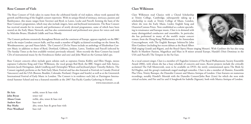### **Rose Consort of Viols**

The Rose Consort of Viols takes its name from the celebrated family of viol makers, whose work spanned the growth and flowering of the English consort repertoire. With its unique blend of intimacy, intricacy, passion and flamboyance, this music ranges from Taverner and Byrd, to Lawes, Locke and Purcell, forming the basis of the Rose Consort's programmes, which may also include singers, lutes and keyboard instruments. The Rose Consort has received awards for its research and performance of newly devised programmes, some of which have been toured on the Early Music Network, and has also commissioned and performed new pieces for voices and viols by Malcolm Bruno, Elizabeth Liddle and Ivan Moody.

The Consort performs extensively throughout Britain and the continent of Europe, appears regularly on the BBC and in the major London concert halls, and has made a number of highly acclaimed recordings on the Amon Ra, Woodmansterne, cpo and Naxos labels. The Consort's CDs for Naxos include an anthology of Elizabethan Consort Music in addition to those of Byrd, Dowland, Gibbons, Jenkins, Lawes, Tomkins and Purcell (selected by The Sunday Times as the best available version) previously released. More recently the Rose Consort has issued CDs of instrumental music by the Ferraboscos (father and son) and John Ward on the German label cpo.

Rose Consort concerts often include guest soloists such as sopranos Emma Kirkby and Ellen Hargis, mezzo sopranos Catherine King and Clare Wilkinson, the vocal groups Red Byrd, the BBC Singers and Stile Antico, lutenists Jacob Heringman, Jakob Lindberg and Christopher Wilson and keyboard player Timothy Roberts. The Consort regularly performs at the York Early Music Festival and has also featured at Festivals in Canada (Festival Vancouver) and the USA (Boston; Boulder, Colorado; Portland, Oregon and Seattle) as well as at the Greenwich International Festival of Early Music in London. The Consort is in residence each July at Dartington International Summer School and was a featured ensemble at the 2007 Pan-Pacific Gamba Gathering in Hawaii.

www.roseconsort.co.uk

| Ibi Aziz       | treble, tenor & bass viols           |
|----------------|--------------------------------------|
| John Bryan     | tenor viol                           |
| Alison Crum    | treble, alto, tenor & bass viol      |
| Andrew Kerr    | bass viol                            |
| Roy Marks      | alto, tenor, bass & great bass viols |
| Peter Wendland | bass viol                            |

## **Clare Wilkinson**

Clare Wilkinson read Classics with a Choral Scholarship at Trinity College, Cambridge, subsequently taking up a scholarship to study at Trinity College of Music, London, where she won the Early Music, Lieder, English Song and Oratorio/Cantata Prizes. Now established as a soloist specialising in renaissance and baroque music, Clare is in demand with many distinguished conductors and ensembles. In particular, she has performed in many of the world's major concert venues, from the Hong Kong Philharmonic to the Amsterdam Concertgebouw, with The English Baroque Soloists/Sir John Eliot Gardiner (including her recent debuts at the Royal Albert



Hall singing Grandi and Rigatti, and the Royal Opera House singing Mozart). With Gardiner she has also sung Bach's St Matthew Passion, Magnificat and Mass in B minor around Europe, Handel's Dixit Dominus in the USA and Purcell's The Tempest in the Far East.

As a vocal consort singer, Clare is a member of I Fagiolini (winners of The Royal Philharmonic Society Ensemble Award 2006), with whom she has a busy schedule of concerts and tours. Recent projects include the critically acclaimed The Full Monteverdi, soon to be available on DVD, the newly commissioned opera The Birds by Ed Hughes, and the group's trademark staged madrigal comedies. Clare is also a member of Alamire, Ensemble Plus Ultra, Trinity Baroque, the Dunedin Consort and Musica Antiqua of London. Clare features on numerous recordings, notably Handel's Messiah with the Dunedin Consort/John Butt (Linn) for which she won wide critical acclaim, and Fire and Ice and A Songbook for Isabella (Signum), both with Musica Antiqua of London.